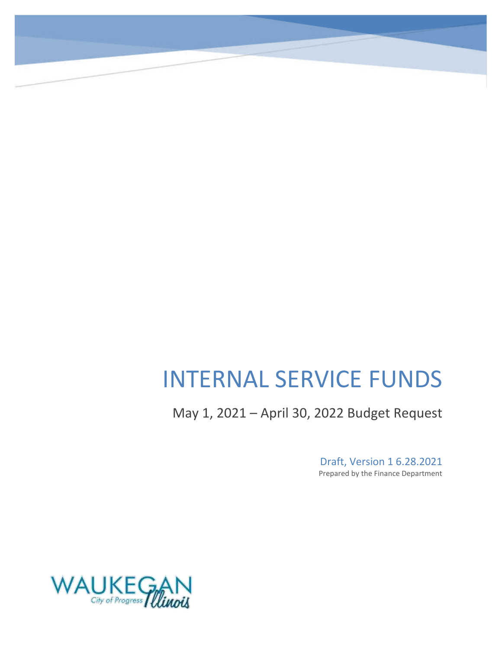# INTERNAL SERVICE FUNDS

May 1, 2021 – April 30, 2022 Budget Request

Draft, Version 1 6.28.2021 Prepared by the Finance Department

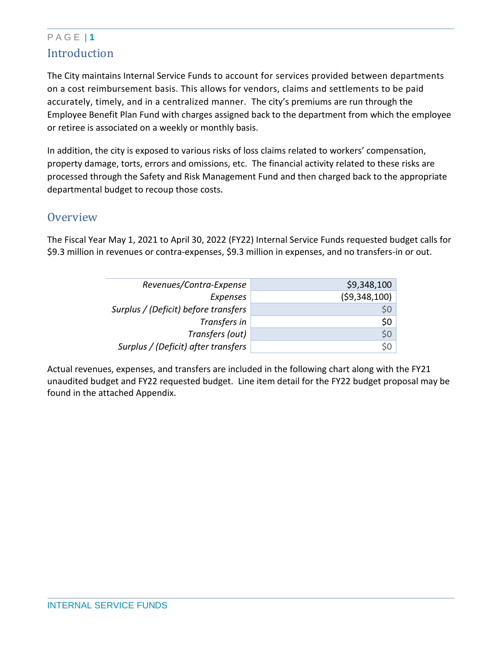# P A G E | **1 Introduction**

The City maintains Internal Service Funds to account for services provided between departments on a cost reimbursement basis. This allows for vendors, claims and settlements to be paid accurately, timely, and in a centralized manner. The city's premiums are run through the Employee Benefit Plan Fund with charges assigned back to the department from which the employee or retiree is associated on a weekly or monthly basis.

In addition, the city is exposed to various risks of loss claims related to workers' compensation, property damage, torts, errors and omissions, etc. The financial activity related to these risks are processed through the Safety and Risk Management Fund and then charged back to the appropriate departmental budget to recoup those costs.

## **Overview**

The Fiscal Year May 1, 2021 to April 30, 2022 (FY22) Internal Service Funds requested budget calls for \$9.3 million in revenues or contra-expenses, \$9.3 million in expenses, and no transfers-in or out.

| \$9,348,100  |
|--------------|
| (59,348,100) |
| \$0          |
| \$0          |
| \$0\$        |
| \$0          |
|              |

Actual revenues, expenses, and transfers are included in the following chart along with the FY21 unaudited budget and FY22 requested budget. Line item detail for the FY22 budget proposal may be found in the attached Appendix.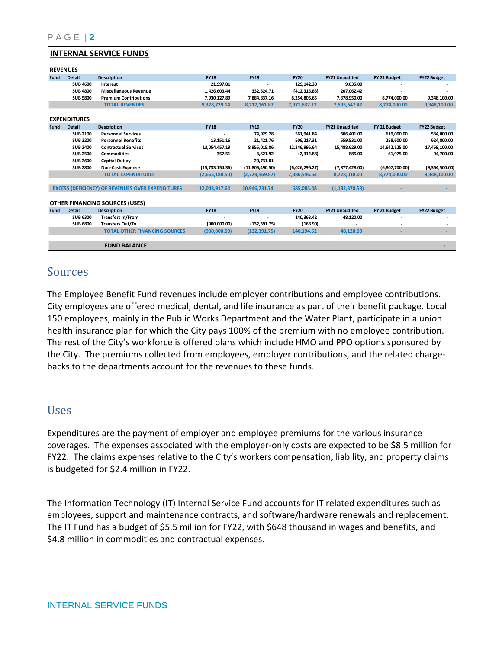#### P A G E | **2**

#### **INTERNAL SERVICE FUNDS**

|        | <b>REVENUES</b>     |                                                          |                   |                 |                |                       |                |                    |  |
|--------|---------------------|----------------------------------------------------------|-------------------|-----------------|----------------|-----------------------|----------------|--------------------|--|
| l Fund | <b>Detail</b>       | <b>Description</b>                                       | <b>FY18</b>       | <b>FY19</b>     | <b>FY20</b>    | <b>FY21 Unaudited</b> | FY 21 Budget   | FY22 Budget        |  |
|        | <b>SUB 4600</b>     | Interest                                                 | 21,997.81         |                 | 129,142.30     | 9,635.00              |                |                    |  |
|        | <b>SUB 4800</b>     | <b>Miscellaneous Revenue</b>                             | 1,426,603.44      | 332,324.71      | (412, 316.83)  | 207,062.42            |                |                    |  |
|        | <b>SUB 5800</b>     | <b>Premium Contributions</b>                             | 7,930,127.89      | 7,884,837.16    | 8,254,806.65   | 7,378,950.00          | 8,774,000.00   | 9,348,100.00       |  |
|        |                     | <b>TOTAL REVENUES</b>                                    | 9,378,729.14      | 8,217,161.87    | 7,971,632.12   | 7,595,647.42          | 8,774,000.00   | 9,348,100.00       |  |
|        | <b>EXPENDITURES</b> |                                                          |                   |                 |                |                       |                |                    |  |
| l Fund | <b>Detail</b>       | <b>Description</b>                                       | <b>FY18</b>       | <b>FY19</b>     | <b>FY20</b>    | <b>FY21 Unaudited</b> | FY 21 Budget   | <b>FY22 Budget</b> |  |
|        | <b>SUB 2100</b>     | <b>Personnel Services</b>                                |                   | 74,929.28       | 561,941.84     | 606,401.00            | 619,000.00     | 534,000.00         |  |
|        | <b>SUB 2200</b>     | <b>Personnel Benefits</b>                                | 13,151.16         | 21,421.76       | 506,217.31     | 559,531.00            | 258,600.00     | 624,800.00         |  |
|        | <b>SUB 2400</b>     | <b>Contractual Services</b>                              | 13,054,457.19     | 8,955,015.86    | 12,346,996.64  | 15,488,629.00         | 14,642,125.00  | 17,459,100.00      |  |
|        | <b>SUB 2500</b>     | <b>Commodities</b>                                       | 357.51            | 3,821.92        | (2,312.88)     | 885.00                | 61,975.00      | 94,700.00          |  |
|        | <b>SUB 2600</b>     | <b>Capital Outlay</b>                                    |                   | 20,731.81       |                |                       |                |                    |  |
|        | <b>SUB 2800</b>     | Non-Cash Expense                                         | (15, 733, 154.36) | (11,805,490.50) | (6,026,296.27) | (7,877,428.00)        | (6,807,700.00) | (9,364,500.00)     |  |
|        |                     | <b>TOTAL EXPENDITURES</b>                                | (2,665,188.50)    | (2,729,569.87)  | 7,386,546.64   | 8,778,018.00          | 8,774,000.00   | 9,348,100.00       |  |
|        |                     |                                                          |                   |                 |                |                       |                |                    |  |
|        |                     | <b>EXCESS (DEFICIENCY) OF REVENUES OVER EXPENDITURES</b> | 12,043,917.64     | 10,946,731.74   | 585,085.48     | (1, 182, 370.58)      |                |                    |  |
|        |                     | <b>OTHER FINANCING SOURCES (USES)</b>                    |                   |                 |                |                       |                |                    |  |
| Fund   | <b>Detail</b>       | <b>Description</b>                                       | <b>FY18</b>       | <b>FY19</b>     | <b>FY20</b>    | <b>FY21 Unaudited</b> | FY 21 Budget   | <b>FY22 Budget</b> |  |
|        | <b>SUB 6300</b>     | <b>Transfers In/From</b>                                 |                   |                 | 140,363.42     | 48,120.00             |                |                    |  |
|        | <b>SUB 6800</b>     | <b>Transfers Out/To</b>                                  | (900,000.00)      | (132, 391.75)   | (168.90)       |                       |                |                    |  |
|        |                     | <b>TOTAL OTHER FINANCING SOURCES</b>                     | (900,000.00)      | (132, 391.75)   | 140,194.52     | 48,120.00             |                |                    |  |
|        |                     | <b>FUND BALANCE</b>                                      |                   |                 |                |                       |                |                    |  |

### Sources

The Employee Benefit Fund revenues include employer contributions and employee contributions. City employees are offered medical, dental, and life insurance as part of their benefit package. Local 150 employees, mainly in the Public Works Department and the Water Plant, participate in a union health insurance plan for which the City pays 100% of the premium with no employee contribution. The rest of the City's workforce is offered plans which include HMO and PPO options sponsored by the City. The premiums collected from employees, employer contributions, and the related chargebacks to the departments account for the revenues to these funds.

### Uses

Expenditures are the payment of employer and employee premiums for the various insurance coverages. The expenses associated with the employer-only costs are expected to be \$8.5 million for FY22. The claims expenses relative to the City's workers compensation, liability, and property claims is budgeted for \$2.4 million in FY22.

The Information Technology (IT) Internal Service Fund accounts for IT related expenditures such as employees, support and maintenance contracts, and software/hardware renewals and replacement. The IT Fund has a budget of \$5.5 million for FY22, with \$648 thousand in wages and benefits, and \$4.8 million in commodities and contractual expenses.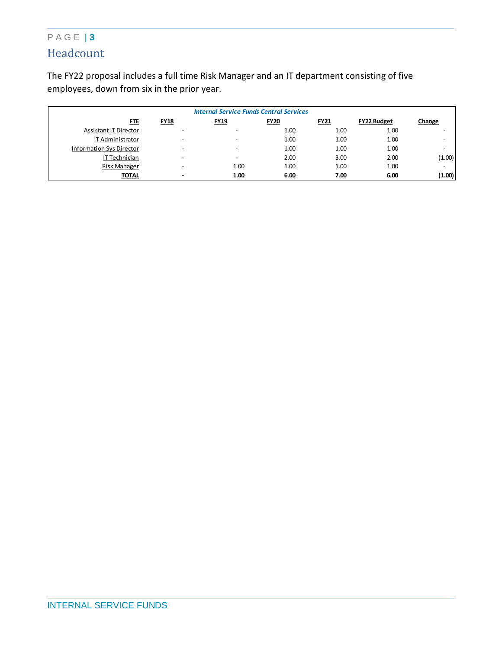# P A G E | **3** Headcount

The FY22 proposal includes a full time Risk Manager and an IT department consisting of five employees, down from six in the prior year.

| <b>Internal Service Funds Central Services</b> |                          |                          |             |             |                    |        |
|------------------------------------------------|--------------------------|--------------------------|-------------|-------------|--------------------|--------|
| <u>FTE</u>                                     | <b>FY18</b>              | FY19                     | <b>FY20</b> | <b>FY21</b> | <b>FY22 Budget</b> | Change |
| <b>Assistant IT Director</b>                   | $\overline{\phantom{0}}$ |                          | 1.00        | 1.00        | 1.00               |        |
| IT Administrator                               | $\overline{\phantom{0}}$ | $\overline{\phantom{0}}$ | 1.00        | 1.00        | 1.00               |        |
| <b>Information Sys Director</b>                | $\overline{\phantom{0}}$ |                          | 1.00        | 1.00        | 1.00               |        |
| IT Technician                                  | $\overline{\phantom{0}}$ | $\overline{\phantom{0}}$ | 2.00        | 3.00        | 2.00               | (1.00) |
| Risk Manager                                   |                          | 1.00                     | 1.00        | 1.00        | 1.00               |        |
| <b>TOTAL</b>                                   |                          | 1.00                     | 6.00        | 7.00        | 6.00               | (1.00) |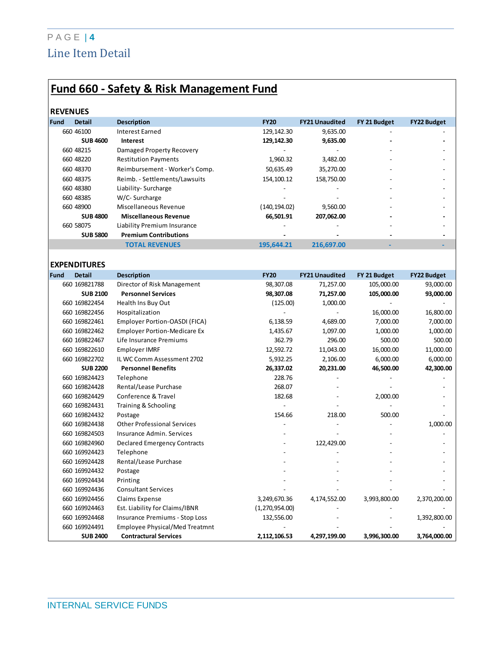# P A G E | **4** Line Item Detail

# **Fund 660 - Safety & Risk Management Fund**

#### **REVENUES**

| <b>Fund</b> | <b>Detail</b>   | <b>Description</b>             | <b>FY20</b>   | <b>FY21 Unaudited</b> | FY 21 Budget   | <b>FY22 Budget</b> |
|-------------|-----------------|--------------------------------|---------------|-----------------------|----------------|--------------------|
|             | 660 46100       | Interest Earned                | 129,142.30    | 9,635.00              |                |                    |
|             | <b>SUB 4600</b> | Interest                       | 129,142.30    | 9,635.00              | $\blacksquare$ |                    |
|             | 660 48215       | Damaged Property Recovery      |               |                       |                |                    |
|             | 660 48220       | <b>Restitution Payments</b>    | 1,960.32      | 3,482.00              |                |                    |
|             | 660 48370       | Reimbursement - Worker's Comp. | 50,635.49     | 35,270.00             |                |                    |
|             | 660 48375       | Reimb. - Settlements/Lawsuits  | 154,100.12    | 158,750.00            |                |                    |
|             | 660 48380       | Liability- Surcharge           |               | -                     |                |                    |
|             | 660 48385       | W/C- Surcharge                 |               |                       |                |                    |
|             | 660 48900       | Miscellaneous Revenue          | (140, 194.02) | 9.560.00              |                |                    |
|             | <b>SUB 4800</b> | <b>Miscellaneous Revenue</b>   | 66,501.91     | 207,062.00            |                |                    |
|             | 660 58075       | Liability Premium Insurance    |               |                       |                |                    |
|             | <b>SUB 5800</b> | <b>Premium Contributions</b>   |               |                       |                |                    |
|             |                 | <b>TOTAL REVENUES</b>          | 195,644.21    | 216,697.00            |                |                    |
|             |                 |                                |               |                       |                |                    |

### **EXPENDITURES**

| Fund | <b>Detail</b>   | <b>Description</b>                    | <b>FY20</b>    | <b>FY21 Unaudited</b> | FY 21 Budget | <b>FY22 Budget</b> |
|------|-----------------|---------------------------------------|----------------|-----------------------|--------------|--------------------|
|      | 660 169821788   | Director of Risk Management           | 98,307.08      | 71,257.00             | 105,000.00   | 93,000.00          |
|      | <b>SUB 2100</b> | <b>Personnel Services</b>             | 98,307.08      | 71,257.00             | 105,000.00   | 93,000.00          |
|      | 660 169822454   | Health Ins Buy Out                    | (125.00)       | 1,000.00              |              |                    |
|      | 660 169822456   | Hospitalization                       |                |                       | 16,000.00    | 16,800.00          |
|      | 660 169822461   | Employer Portion-OASDI (FICA)         | 6,138.59       | 4,689.00              | 7,000.00     | 7,000.00           |
|      | 660 169822462   | <b>Employer Portion-Medicare Ex</b>   | 1,435.67       | 1,097.00              | 1,000.00     | 1,000.00           |
|      | 660 169822467   | Life Insurance Premiums               | 362.79         | 296.00                | 500.00       | 500.00             |
|      | 660 169822610   | Employer IMRF                         | 12,592.72      | 11,043.00             | 16,000.00    | 11,000.00          |
|      | 660 169822702   | IL WC Comm Assessment 2702            | 5,932.25       | 2,106.00              | 6,000.00     | 6,000.00           |
|      | <b>SUB 2200</b> | <b>Personnel Benefits</b>             | 26,337.02      | 20,231.00             | 46,500.00    | 42,300.00          |
|      | 660 169824423   | Telephone                             | 228.76         |                       |              |                    |
|      | 660 169824428   | Rental/Lease Purchase                 | 268.07         |                       |              |                    |
|      | 660 169824429   | Conference & Travel                   | 182.68         |                       | 2,000.00     |                    |
|      | 660 169824431   | Training & Schooling                  |                |                       |              |                    |
|      | 660 169824432   | Postage                               | 154.66         | 218.00                | 500.00       |                    |
|      | 660 169824438   | <b>Other Professional Services</b>    |                |                       |              | 1,000.00           |
|      | 660 169824503   | Insurance Admin, Services             |                |                       |              |                    |
|      | 660 169824960   | <b>Declared Emergency Contracts</b>   |                | 122,429.00            |              |                    |
|      | 660 169924423   | Telephone                             |                |                       |              |                    |
|      | 660 169924428   | Rental/Lease Purchase                 |                |                       |              |                    |
|      | 660 169924432   | Postage                               |                |                       |              |                    |
|      | 660 169924434   | Printing                              |                |                       |              |                    |
|      | 660 169924436   | <b>Consultant Services</b>            |                |                       |              |                    |
|      | 660 169924456   | Claims Expense                        | 3,249,670.36   | 4,174,552.00          | 3,993,800.00 | 2,370,200.00       |
|      | 660 169924463   | Est. Liability for Claims/IBNR        | (1,270,954.00) |                       |              |                    |
|      | 660 169924468   | <b>Insurance Premiums - Stop Loss</b> | 132,556.00     |                       |              | 1,392,800.00       |
|      | 660 169924491   | <b>Employee Physical/Med Treatmnt</b> |                |                       |              |                    |
|      | <b>SUB 2400</b> | <b>Contractural Services</b>          | 2,112,106.53   | 4,297,199.00          | 3,996,300.00 | 3,764,000.00       |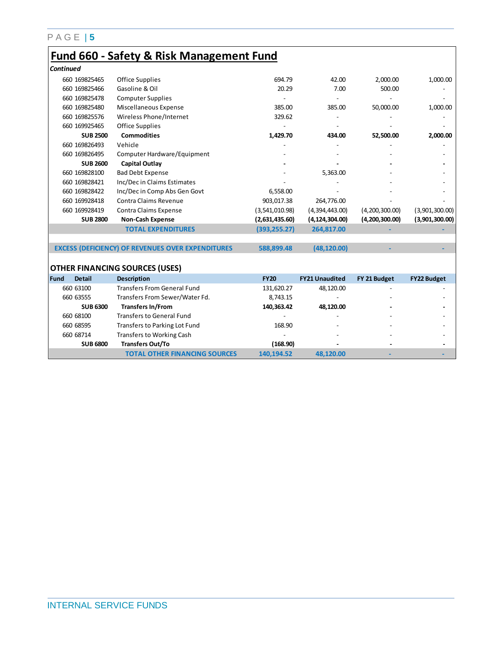### P A G E | **5**

# **Fund 660 - Safety & Risk Management Fund**

| <b>Continued</b>      |                                                          |                |                       |                |                    |
|-----------------------|----------------------------------------------------------|----------------|-----------------------|----------------|--------------------|
| 660 169825465         | Office Supplies                                          | 694.79         | 42.00                 | 2,000.00       | 1,000.00           |
| 660 169825466         | Gasoline & Oil                                           | 20.29          | 7.00                  | 500.00         |                    |
| 660 169825478         | <b>Computer Supplies</b>                                 |                |                       |                |                    |
| 660 169825480         | Miscellaneous Expense                                    | 385.00         | 385.00                | 50,000.00      | 1,000.00           |
| 660 169825576         | Wireless Phone/Internet                                  | 329.62         |                       |                |                    |
| 660 169925465         | Office Supplies                                          |                |                       |                |                    |
| <b>SUB 2500</b>       | <b>Commodities</b>                                       | 1,429.70       | 434.00                | 52,500.00      | 2,000.00           |
| 660 169826493         | Vehicle                                                  |                |                       |                |                    |
| 660 169826495         | Computer Hardware/Equipment                              |                |                       |                |                    |
| <b>SUB 2600</b>       | <b>Capital Outlay</b>                                    |                |                       |                |                    |
| 660 169828100         | <b>Bad Debt Expense</b>                                  |                | 5,363.00              |                |                    |
| 660 169828421         | Inc/Dec in Claims Estimates                              |                |                       |                |                    |
| 660 169828422         | Inc/Dec in Comp Abs Gen Govt                             | 6,558.00       |                       |                |                    |
| 660 169928418         | Contra Claims Revenue                                    | 903,017.38     | 264,776.00            |                |                    |
| 660 169928419         | Contra Claims Expense                                    | (3,541,010.98) | (4,394,443.00)        | (4,200,300.00) | (3,901,300.00)     |
| <b>SUB 2800</b>       | <b>Non-Cash Expense</b>                                  | (2,631,435.60) | (4, 124, 304.00)      | (4,200,300.00) | (3,901,300.00)     |
|                       | <b>TOTAL EXPENDITURES</b>                                | (393, 255.27)  | 264,817.00            |                |                    |
|                       | <b>EXCESS (DEFICIENCY) OF REVENUES OVER EXPENDITURES</b> | 588,899.48     | (48, 120.00)          |                |                    |
|                       | <b>OTHER FINANCING SOURCES (USES)</b>                    |                |                       |                |                    |
| Fund<br><b>Detail</b> | <b>Description</b>                                       | <b>FY20</b>    | <b>FY21 Unaudited</b> | FY 21 Budget   | <b>FY22 Budget</b> |
| 660 63100             | <b>Transfers From General Fund</b>                       | 131,620.27     | 48,120.00             |                |                    |
| 660 63555             | Transfers From Sewer/Water Fd.                           | 8,743.15       |                       |                |                    |
| <b>SUB 6300</b>       | <b>Transfers In/From</b>                                 | 140,363.42     | 48,120.00             |                |                    |
| 660 68100             | <b>Transfers to General Fund</b>                         |                |                       |                |                    |
| 660 68595             | Transfers to Parking Lot Fund                            | 168.90         |                       |                |                    |
| 660 68714             | <b>Transfers to Working Cash</b>                         |                |                       |                |                    |
| <b>SUB 6800</b>       | <b>Transfers Out/To</b>                                  | (168.90)       |                       |                |                    |
|                       | <b>TOTAL OTHER FINANCING SOURCES</b>                     | 140,194.52     | 48.120.00             |                |                    |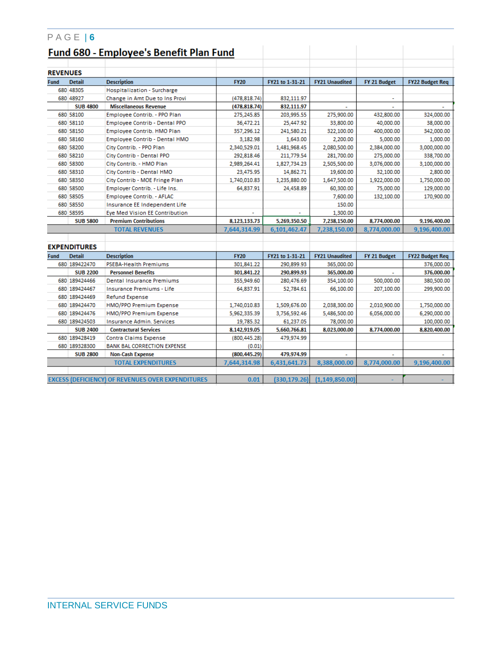|                 | $PAGE$   6          |                                                          |               |                 |                       |                       |                        |  |
|-----------------|---------------------|----------------------------------------------------------|---------------|-----------------|-----------------------|-----------------------|------------------------|--|
|                 |                     | Fund 680 - Employee's Benefit Plan Fund                  |               |                 |                       |                       |                        |  |
|                 |                     |                                                          |               |                 |                       |                       |                        |  |
| <b>REVENUES</b> |                     |                                                          |               |                 |                       |                       |                        |  |
| <b>Fund</b>     | <b>Detail</b>       | <b>Description</b>                                       | <b>FY20</b>   | FY21 to 1-31-21 | <b>FY21 Unaudited</b> | FY 21 Budget          | <b>FY22 Budget Req</b> |  |
|                 | 680 48305           | Hospitalization - Surcharge                              |               |                 |                       |                       |                        |  |
|                 | 680 48927           | Change in Amt Due to Ins Provi                           | (478, 818.74) | 832,111.97      |                       | $\tilde{\phantom{a}}$ |                        |  |
|                 | <b>SUB 4800</b>     | <b>Miscellaneous Revenue</b>                             | (478,818.74)  | 832,111.97      |                       |                       |                        |  |
|                 | 680 58100           | Employee Contrib. - PPO Plan                             | 275.245.85    | 203.995.55      | 275,900.00            | 432,800.00            | 324,000.00             |  |
|                 | 680 58110           | <b>Employee Contrib - Dental PPO</b>                     | 36,472.21     | 25,447.92       | 33,800.00             | 40,000.00             | 38,000.00              |  |
|                 | 680 58150           | Employee Contrib. HMO Plan                               | 357,296.12    | 241,580.21      | 322,100.00            | 400,000.00            | 342,000.00             |  |
|                 | 680 58160           | <b>Employee Contrib - Dental HMO</b>                     | 3,182.98      | 1,643.00        | 2,200.00              | 5,000.00              | 1,000.00               |  |
|                 | 680 58200           | City Contrib. - PPO Plan                                 | 2,340,529.01  | 1,481,968.45    | 2,080,500.00          | 2,384,000.00          | 3,000,000.00           |  |
|                 | 680 58210           | City Contrib - Dental PPO                                | 292,818.46    | 211,779.54      | 281,700.00            | 275,000.00            | 338,700.00             |  |
|                 | 680 58300           | City Contrib. - HMO Plan                                 | 2,989,264.41  | 1,827,734.23    | 2,505,500.00          | 3,076,000.00          | 3,100,000.00           |  |
|                 | 680 58310           | City Contrib - Dental HMO                                | 23,475.95     | 14,862.71       | 19,600.00             | 32,100.00             | 2,800.00               |  |
|                 | 680 58350           | City Contrib - MOE Fringe Plan                           | 1,740,010.83  | 1.235.880.00    | 1,647,500.00          | 1,922,000.00          | 1,750,000.00           |  |
|                 | 680 58500           | Employer Contrib. - Life Ins.                            | 64,837.91     | 24,458.89       | 60,300.00             | 75,000.00             | 129,000.00             |  |
|                 | 680 58505           | Employee Contrib. - AFLAC                                |               |                 | 7,600.00              | 132,100.00            | 170,900.00             |  |
|                 | 680 58550           | Insurance EE Independent Life                            |               |                 | 150.00                |                       |                        |  |
|                 | 680 58595           | Eve Med Vision EE Contribution                           |               |                 | 1,300.00              |                       |                        |  |
|                 | <b>SUB 5800</b>     | <b>Premium Contributions</b>                             | 8,123,133.73  | 5,269,350.50    | 7,238,150.00          | 8,774,000.00          | 9,196,400.00           |  |
|                 |                     | <b>TOTAL REVENUES</b>                                    | 7,644,314.99  | 6,101,462.47    | 7,238,150.00          | 8,774,000.00          | 9,196,400.00           |  |
|                 |                     |                                                          |               |                 |                       |                       |                        |  |
|                 | <b>EXPENDITURES</b> |                                                          |               |                 |                       |                       |                        |  |
| <b>Fund</b>     | <b>Detail</b>       | <b>Description</b>                                       | <b>FY20</b>   | FY21 to 1-31-21 | <b>FY21 Unaudited</b> | FY 21 Budget          | <b>FY22 Budget Req</b> |  |
|                 | 680 189422470       | <b>PSEBA-Health Premiums</b>                             | 301,841.22    | 290.899.93      | 365,000.00            |                       | 376,000.00             |  |
|                 | <b>SUB 2200</b>     | <b>Personnel Benefits</b>                                | 301,841.22    | 290,899.93      | 365,000.00            |                       | 376,000.00             |  |
|                 | 680 189424466       | <b>Dental Insurance Premiums</b>                         | 355,949.60    | 280,476.69      | 354,100.00            | 500,000.00            | 380,500.00             |  |
|                 | 680 189424467       | <b>Insurance Premiums - Life</b>                         | 64,837.91     | 52.784.61       | 66,100.00             | 207,100.00            | 299,900.00             |  |
|                 | 680 189424469       | Refund Expense                                           |               |                 |                       |                       |                        |  |
|                 | 680 189424470       | HMO/PPO Premium Expense                                  | 1,740,010.83  | 1,509,676.00    | 2,038,300.00          | 2,010,900.00          | 1,750,000.00           |  |
|                 | 680 189424476       | HMO/PPO Premium Expense                                  | 5,962,335.39  | 3,756,592.46    | 5,486,500.00          | 6,056,000.00          | 6,290,000.00           |  |
|                 | 680 189424503       | <b>Insurance Admin, Services</b>                         | 19,785.32     | 61.237.05       | 78,000.00             |                       | 100,000.00             |  |
|                 | <b>SUB 2400</b>     | <b>Contractural Services</b>                             | 8,142,919.05  | 5,660,766.81    | 8,023,000.00          | 8,774,000.00          | 8,820,400.00           |  |
|                 | 680 189428419       | Contra Claims Expense                                    | (800, 445.28) | 479,974.99      |                       |                       |                        |  |
|                 | 680 189328300       | <b>BANK BAL CORRECTION EXPENSE</b>                       | (0.01)        |                 |                       |                       |                        |  |
|                 | <b>SUB 2800</b>     | <b>Non-Cash Expense</b>                                  | (800,445.29)  | 479.974.99      |                       |                       |                        |  |
|                 |                     | <b>TOTAL EXPENDITURES</b>                                | 7,644,314.98  | 6,431,641.73    | 8,388,000.00          | 8,774,000.00          | 9,196,400.00           |  |
|                 |                     |                                                          |               |                 |                       |                       |                        |  |
|                 |                     | <b>EXCESS (DEFICIENCY) OF REVENUES OVER EXPENDITURES</b> | 0.01          | (330, 179.26)   | (1, 149, 850.00)      |                       |                        |  |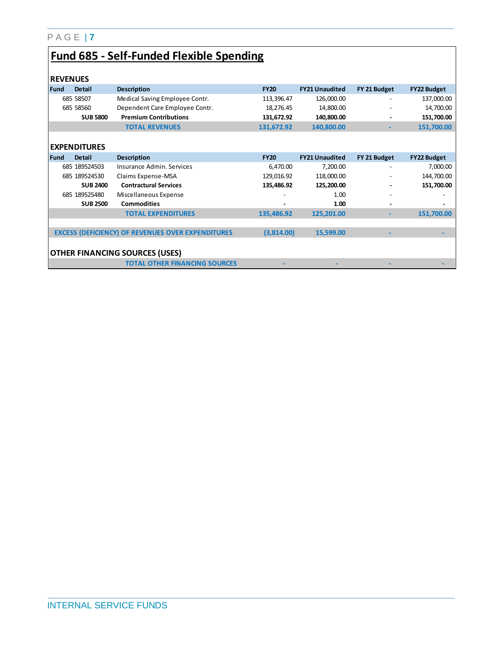# **Fund 685 - Self-Funded Flexible Spending**

| <b>REVENUES</b> |                     |                                                          |             |                       |              |                    |
|-----------------|---------------------|----------------------------------------------------------|-------------|-----------------------|--------------|--------------------|
| Fund            | <b>Detail</b>       | <b>Description</b>                                       | <b>FY20</b> | <b>FY21 Unaudited</b> | FY 21 Budget | <b>FY22 Budget</b> |
|                 | 685 58507           | Medical Saving Employee Contr.                           | 113,396.47  | 126,000.00            |              | 137,000.00         |
|                 | 685 58560           | Dependent Care Employee Contr.                           | 18,276.45   | 14,800.00             | ۰            | 14,700.00          |
|                 | <b>SUB 5800</b>     | <b>Premium Contributions</b>                             | 131,672.92  | 140,800.00            |              | 151,700.00         |
|                 |                     | <b>TOTAL REVENUES</b>                                    | 131,672.92  | 140,800.00            | ٠            | 151,700.00         |
|                 |                     |                                                          |             |                       |              |                    |
|                 | <b>EXPENDITURES</b> |                                                          |             |                       |              |                    |
| Fund            | <b>Detail</b>       | <b>Description</b>                                       | <b>FY20</b> | <b>FY21 Unaudited</b> | FY 21 Budget | <b>FY22 Budget</b> |
|                 | 685 189524503       | Insurance Admin, Services                                | 6,470.00    | 7,200.00              |              | 7,000.00           |
|                 | 685 189524530       | Claims Expense-MSA                                       | 129,016.92  | 118,000.00            | ۰            | 144,700.00         |
|                 | <b>SUB 2400</b>     | <b>Contractural Services</b>                             | 135,486.92  | 125,200.00            |              | 151,700.00         |
|                 | 685 189525480       | Miscellaneous Expense                                    |             | 1.00                  |              |                    |
|                 | <b>SUB 2500</b>     | <b>Commodities</b>                                       |             | 1.00                  |              |                    |
|                 |                     | <b>TOTAL EXPENDITURES</b>                                | 135,486.92  | 125,201.00            | ٠            | 151,700.00         |
|                 |                     |                                                          |             |                       |              |                    |
|                 |                     | <b>EXCESS (DEFICIENCY) OF REVENUES OVER EXPENDITURES</b> | (3,814.00)  | 15,599.00             |              |                    |
|                 |                     |                                                          |             |                       |              |                    |
|                 |                     | <b>OTHER FINANCING SOURCES (USES)</b>                    |             |                       |              |                    |
|                 |                     | <b>TOTAL OTHER FINANCING SOURCES</b>                     |             |                       |              |                    |